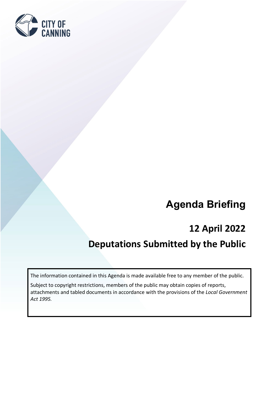

# **Agenda Briefing**

## **12 April 2022**

## **Deputations Submitted by the Public**

The information contained in this Agenda is made available free to any member of the public.

Subject to copyright restrictions, members of the public may obtain copies of reports, attachments and tabled documents in accordance with the provisions of the *Local Government Act 1995.*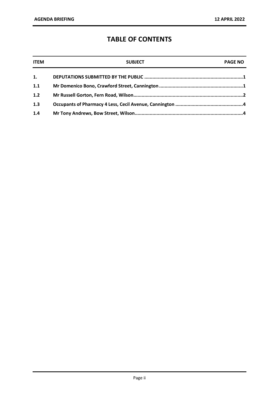### **TABLE OF CONTENTS**

| <b>ITEM</b> | <b>SUBJECT</b> | <b>PAGE NO</b> |
|-------------|----------------|----------------|
| 1.          |                |                |
| 1.1         |                |                |
| 1.2         |                |                |
| 1.3         |                |                |
| 1.4         |                |                |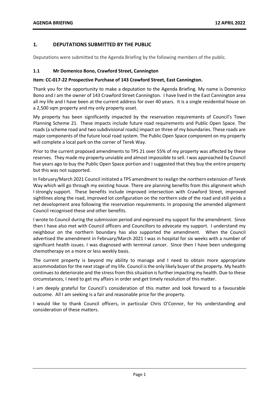#### <span id="page-2-0"></span>**1. DEPUTATIONS SUBMITTED BY THE PUBLIC**

Deputations were submitted to the Agenda Briefing by the following members of the public.

#### <span id="page-2-1"></span>**1.1 Mr Domenico Bono, Crawford Street, Cannington**

#### **Item: CC-017-22 Prospective Purchase of 143 Crawford Street, East Cannington.**

Thank you for the opportunity to make a deputation to the Agenda Briefing. My name is Domenico Bono and I am the owner of 143 Crawford Street Cannington. I have lived in the East Cannington area all my life and I have been at the current address for over 40 years. It is a single residential house on a 2,500 sqm property and my only property asset.

My property has been significantly impacted by the reservation requirements of Council's Town Planning Scheme 21. These impacts include future road requirements and Public Open Space. The roads (a scheme road and two subdivisional roads) impact on three of my boundaries. These roads are major components of the future local road system. The Public Open Space component on my property will complete a local park on the corner of Terek Way.

Prior to the current proposed amendments to TPS 21 over 55% of my property was affected by these reserves. They made my property unviable and almost impossible to sell. I was approached by Council five years ago to buy the Public Open Space portion and I suggested that they buy the entire property but this was not supported.

In February/March 2021 Council initiated a TPS amendment to realign the northern extension of Terek Way which will go through my existing house. There are planning benefits from this alignment which I strongly support. These benefits include improved intersection with Crawford Street, improved sightlines along the road, improved lot configuration on the northern side of the road and still yields a net development area following the reservation requirements. In proposing the amended alignment Council recognised these and other benefits.

I wrote to Council during the submission period and expressed my support for the amendment. Since then I have also met with Council officers and Councillors to advocate my support. I understand my neighbour on the northern boundary has also supported the amendment. When the Council advertised the amendment in February/March 2021 I was in hospital for six weeks with a number of significant health issues. I was diagnosed with terminal cancer. Since then I have been undergoing chemotherapy on a more or less weekly basis.

The current property is beyond my ability to manage and I need to obtain more appropriate accommodation for the next stage of my life. Council is the only likely buyer of the property. My health continues to deteriorate and the stress from this situation is further impacting my health. Due to these circumstances, I need to get my affairs in order and get timely resolution of this matter.

I am deeply grateful for Council's consideration of this matter and look forward to a favourable outcome. All I am seeking is a fair and reasonable price for the property.

I would like to thank Council officers, in particular Chris O'Connor, for his understanding and consideration of these matters.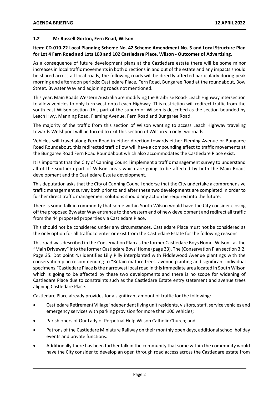#### <span id="page-3-0"></span>**1.2 Mr Russell Gorton, Fern Road, Wilson**

#### **Item: CD-010-22 Local Planning Scheme No. 42 Scheme Amendment No. 5 and Local Structure Plan for Lot 4 Fern Road and Lots 100 and 102 Castledare Place, Wilson - Outcomes of Advertising.**

As a consequence of future development plans at the Castledare estate there will be some minor increases in local traffic movements in both directions in and out of the estate and any impacts should be shared across all local roads, the following roads will be directly affected particularly during peak morning and afternoon periods: Castledare Place, Fern Road, Bungaree Road at the roundabout, Bow Street, Bywater Way and adjoining roads not mentioned.

This year, Main Roads Western Australia are modifying the Braibrise Road- Leach Highway intersection to allow vehicles to only turn west onto Leach Highway. This restriction will redirect traffic from the south-east Wilson section (this part of the suburb of Wilson is described as the section bounded by Leach Hwy, Manning Road, Fleming Avenue, Fern Road and Bungaree Road.

The majority of the traffic from this section of Wilson wanting to access Leach Highway traveling towards Welshpool will be forced to exit this section of Wilson via only two roads.

Vehicles will travel along Fern Road in either direction towards either Fleming Avenue or Bungaree Road Roundabout, this redirected traffic flow will have a compounding effect to traffic movements at the Bungaree Road Fern Road Roundabout which also accommodates the Castledare Place exist.

It is important that the City of Canning Council implement a traffic management survey to understand all of the southern part of Wilson areas which are going to be affected by both the Main Roads development and the Castledare Estate development.

This deputation asks that the City of Canning Council endorse that the City undertake a comprehensive traffic management survey both prior to and after these two developments are completed in order to further direct traffic management solutions should any action be required into the future.

There is some talk in community that some within South Wilson would have the City consider closing off the proposed Bywater Way entrance to the western end of new development and redirect all traffic from the 44 proposed properties via Castledare Place.

This should not be considered under any circumstances. Castledare Place must not be considered as the only option for all traffic to enter or exist from the Castledare Estate for the following reasons:

This road was described in the Conservation Plan as the former Castledare Boys Home, Wilson - as the "Main Driveway" into the former Castledare Boys' Home (page 33). The (Conservation Plan section 3.2, Page 35. Dot point 4.) identifies Lilly Pilly interplanted with Fiddlewood Avenue plantings with the conservation plan recommending to "Retain mature trees, avenue planting and significant individual specimens."Castledare Place is the narrowest local road in this immediate area located in South Wilson which is going to be affected by these two developments and there is no scope for widening of Castledare Place due to constraints such as the Castledare Estate entry statement and avenue trees aligning Castledare Place.

Castledare Place already provides for a significant amount of traffic for the following:

- Castledare Retirement Village independent living unit residents, visitors, staff, service vehicles and emergency services with parking provision for more than 100 vehicles;
- Parishioners of Our Lady of Perpetual Help Wilson Catholic Church; and
- Patrons of the Castledare Miniature Railway on their monthly open days, additional school holiday events and private functions.
- Additionally there has been further talk in the community that some within the community would have the City consider to develop an open through road access across the Castledare estate from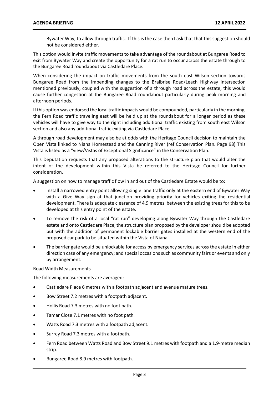Bywater Way, to allow through traffic. If this is the case then I ask that that this suggestion should not be considered either.

This option would invite traffic movements to take advantage of the roundabout at Bungaree Road to exit from Bywater Way and create the opportunity for a rat run to occur across the estate through to the Bungaree Road roundabout via Castledare Place.

When considering the impact on traffic movements from the south east Wilson section towards Bungaree Road from the impending changes to the Braibrise Road/Leach Highway intersection mentioned previously, coupled with the suggestion of a through road across the estate, this would cause further congestion at the Bungaree Road roundabout particularly during peak morning and afternoon periods.

If this option was endorsed the local traffic impacts would be compounded, particularly in the morning, the Fern Road traffic traveling east will be held up at the roundabout for a longer period as these vehicles will have to give way to the right including additional traffic existing from south east Wilson section and also any additional traffic exiting via Castledare Place.

A through road development may also be at odds with the Heritage Council decision to maintain the Open Vista linked to Niana Homestead and the Canning River (ref Conservation Plan. Page 98) This Vista is listed as a "view/Vistas of Exceptional Significance" in the Conservation Plan.

This Deputation requests that any proposed alterations to the structure plan that would alter the intent of the development within this Vista be referred to the Heritage Council for further consideration.

A suggestion on how to manage traffic flow in and out of the Castledare Estate would be to:

- Install a narrowed entry point allowing single lane traffic only at the eastern end of Bywater Way with a Give Way sign at that junction providing priority for vehicles exiting the residential development. There is adequate clearance of 4.9 metres between the existing trees for this to be developed at this entry point of the estate.
- To remove the risk of a local "rat run" developing along Bywater Way through the Castledare estate and onto Castledare Place, the structure plan proposed by the developer should be adopted but with the addition of permanent lockable barrier gates installed at the western end of the proposed car park to be situated within the Vista of Niana.
- The barrier gate would be unlockable for access by emergency services across the estate in either direction case of any emergency; and special occasions such as community fairs or events and only by arrangement.

#### Road Width Measurements

The following measurements are averaged:

- Castledare Place 6 metres with a footpath adjacent and avenue mature trees.
- Bow Street 7.2 metres with a footpath adjacent.
- Hollis Road 7.3 metres with no foot path.
- Tamar Close 7.1 metres with no foot path.
- Watts Road 7.3 metres with a footpath adjacent.
- Surrey Road 7.3 metres with a footpath.
- Fern Road between Watts Road and Bow Street 9.1 metres with footpath and a 1.9-metre median strip.
- Bungaree Road 8.9 metres with footpath.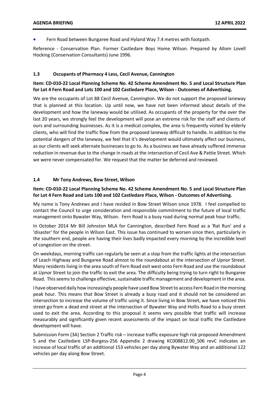• Fern Road between Bungaree Road and Hyland Way 7.4 metres with footpath.

Reference - Conservation Plan. Former Castledare Boys Home Wilson. Prepared by Allom Lovell Hocking (Conservation Consultants) June 1996.

#### <span id="page-5-0"></span>**1.3 Occupants of Pharmacy 4 Less, Cecil Avenue, Cannington**

#### **Item: CD-010-22 Local Planning Scheme No. 42 Scheme Amendment No. 5 and Local Structure Plan for Lot 4 Fern Road and Lots 100 and 102 Castledare Place, Wilson - Outcomes of Advertising.**

We are the occupants of Lot 88 Cecil Avenue, Cannington. We do not support the proposed laneway that is planned at this location. Up until now, we have not been informed about details of the development and how the laneway would be utilised. As occupants of the property for the over the last 20 years, we strongly feel the development will pose an extreme risk for the staff and clients of ours and surrounding businesses. As it is a medical complex, the area is frequently visited by elderly clients, who will find the traffic flow from the proposed laneway difficult to handle. In addition to the potential dangers of the laneway, we feel that it's development would ultimately affect our business, as our clients will seek alternate businesses to go to. As a business we have already suffered immense reduction in revenue due to the change in roads at the intersection of Cecil Ave & Pattie Street. Which we were never compensated for. We request that the matter be deferred and reviewed.

#### <span id="page-5-1"></span>**1.4 Mr Tony Andrews, Bow Street, Wilson**

#### **Item: CD-010-22 Local Planning Scheme No. 42 Scheme Amendment No. 5 and Local Structure Plan for Lot 4 Fern Road and Lots 100 and 102 Castledare Place, Wilson - Outcomes of Advertising.**

My name is Tony Andrews and I have resided in Bow Street Wilson since 1978. I feel compelled to contact the Council to urge consideration and responsible commitment to the future of local traffic management onto Bywater Way, Wilson. Fern Road is a busy road during normal peak hour traffic.

In October 2014 Mr Bill Johnston MLA for Cannington, described Fern Road as a 'Rat Run' and a 'disaster' for the people in Wilson East. This issue has continued to worsen since then, particularly in the southern end, people are having their lives badly impacted every morning by the incredible level of congestion on the street.

On weekdays, morning traffic can regularly be seen at a stop from the traffic lights at the intersection of Leach Highway and Bungaree Road almost to the roundabout at the intersection of Upnor Street. Many residents living in the area south of Fern Road exit west onto Fern Road and use the roundabout at Upnor Street to join the traffic to exit the area. The difficulty being trying to turn right to Bungaree Road. This seems to challenge effective, sustainable traffic management and development in the area.

I have observed daily how increasingly people have used Bow Street to access Fern Road in the morning peak hour. This means that Bow Street is already a busy road and it should not be considered an intersection to increase the volume of traffic using it. Since living in Bow Street, we have noticed this street go from a dead end street at the intersection of Bywater Way and Hollis Road to a busy street used to exit the area. According to this proposal it seems very possible that traffic will increase measurably and significantly given recent assessments of the impact on local traffic the Castledare development will have.

Submission Form (3A) Section 2 Traffic risk – increase traffic exposure high risk proposed Amendment 5 and the Castledare LSP-Burgess-256 Appendix 2 drawing KC008812.00\_S06 revC indicates an increase of local traffic of an additional 153 vehicles per day along Bywater Way and an additional 122 vehicles per day along Bow Street.